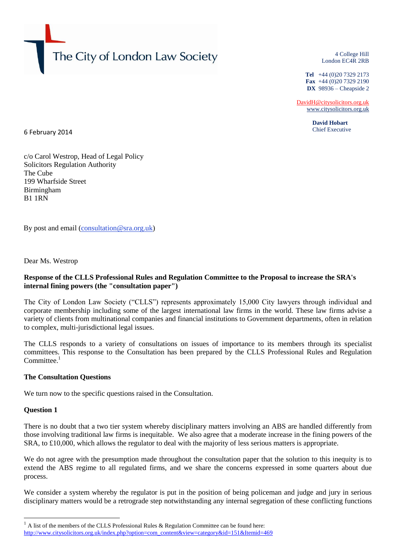

4 College Hill London EC4R 2RB

**Tel** +44 (0)20 7329 2173 **Fax** +44 (0)20 7329 2190 **DX** 98936 – Cheapside 2

[DavidH@citysolicitors.org.uk](mailto:DavidH@citysolicitors.org.uk) [www.citysolicitors.org.uk](http://www.citysolicitors.org.uk/)

> **David Hobart** Chief Executive

6 February 2014

c/o Carol Westrop, Head of Legal Policy Solicitors Regulation Authority The Cube 199 Wharfside Street Birmingham B1 1RN

By post and email [\(consultation@sra.org.uk\)](http://www.sra.org.uk/sra/consultations/consultation@sra.org.uk)

Dear Ms. Westrop

## **Response of the CLLS Professional Rules and Regulation Committee to the Proposal to increase the SRA's internal fining powers (the "consultation paper")**

The City of London Law Society ("CLLS") represents approximately 15,000 City lawyers through individual and corporate membership including some of the largest international law firms in the world. These law firms advise a variety of clients from multinational companies and financial institutions to Government departments, often in relation to complex, multi-jurisdictional legal issues.

The CLLS responds to a variety of consultations on issues of importance to its members through its specialist committees. This response to the Consultation has been prepared by the CLLS Professional Rules and Regulation  $Committee.<sup>1</sup>$ 

### **The Consultation Questions**

We turn now to the specific questions raised in the Consultation.

### **Question 1**

-

There is no doubt that a two tier system whereby disciplinary matters involving an ABS are handled differently from those involving traditional law firms is inequitable. We also agree that a moderate increase in the fining powers of the SRA, to £10,000, which allows the regulator to deal with the majority of less serious matters is appropriate.

We do not agree with the presumption made throughout the consultation paper that the solution to this inequity is to extend the ABS regime to all regulated firms, and we share the concerns expressed in some quarters about due process.

We consider a system whereby the regulator is put in the position of being policeman and judge and jury in serious disciplinary matters would be a retrograde step notwithstanding any internal segregation of these conflicting functions

 $1$  A list of the members of the CLLS Professional Rules & Regulation Committee can be found here: [http://www.citysolicitors.org.uk/index.php?option=com\\_content&view=category&id=151&Itemid=469](http://www.citysolicitors.org.uk/index.php?option=com_content&view=category&id=151&Itemid=469)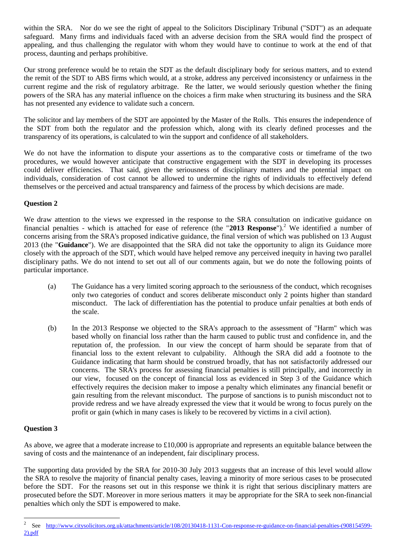within the SRA. Nor do we see the right of appeal to the Solicitors Disciplinary Tribunal ("SDT") as an adequate safeguard. Many firms and individuals faced with an adverse decision from the SRA would find the prospect of appealing, and thus challenging the regulator with whom they would have to continue to work at the end of that process, daunting and perhaps prohibitive.

Our strong preference would be to retain the SDT as the default disciplinary body for serious matters, and to extend the remit of the SDT to ABS firms which would, at a stroke, address any perceived inconsistency or unfairness in the current regime and the risk of regulatory arbitrage. Re the latter, we would seriously question whether the fining powers of the SRA has any material influence on the choices a firm make when structuring its business and the SRA has not presented any evidence to validate such a concern.

The solicitor and lay members of the SDT are appointed by the Master of the Rolls. This ensures the independence of the SDT from both the regulator and the profession which, along with its clearly defined processes and the transparency of its operations, is calculated to win the support and confidence of all stakeholders.

We do not have the information to dispute your assertions as to the comparative costs or timeframe of the two procedures, we would however anticipate that constructive engagement with the SDT in developing its processes could deliver efficiencies. That said, given the seriousness of disciplinary matters and the potential impact on individuals, consideration of cost cannot be allowed to undermine the rights of individuals to effectively defend themselves or the perceived and actual transparency and fairness of the process by which decisions are made.

# **Question 2**

We draw attention to the views we expressed in the response to the SRA consultation on indicative guidance on financial penalties - which is attached for ease of reference (the "2013 Response").<sup>2</sup> We identified a number of concerns arising from the SRA's proposed indicative guidance, the final version of which was published on 13 August 2013 (the "**Guidance**"). We are disappointed that the SRA did not take the opportunity to align its Guidance more closely with the approach of the SDT, which would have helped remove any perceived inequity in having two parallel disciplinary paths. We do not intend to set out all of our comments again, but we do note the following points of particular importance.

- (a) The Guidance has a very limited scoring approach to the seriousness of the conduct, which recognises only two categories of conduct and scores deliberate misconduct only 2 points higher than standard misconduct. The lack of differentiation has the potential to produce unfair penalties at both ends of the scale.
- (b) In the 2013 Response we objected to the SRA's approach to the assessment of "Harm" which was based wholly on financial loss rather than the harm caused to public trust and confidence in, and the reputation of, the profession. In our view the concept of harm should be separate from that of financial loss to the extent relevant to culpability. Although the SRA did add a footnote to the Guidance indicating that harm should be construed broadly, that has not satisfactorily addressed our concerns. The SRA's process for assessing financial penalties is still principally, and incorrectly in our view, focused on the concept of financial loss as evidenced in Step 3 of the Guidance which effectively requires the decision maker to impose a penalty which eliminates any financial benefit or gain resulting from the relevant misconduct. The purpose of sanctions is to punish misconduct not to provide redress and we have already expressed the view that it would be wrong to focus purely on the profit or gain (which in many cases is likely to be recovered by victims in a civil action).

# **Question 3**

As above, we agree that a moderate increase to £10,000 is appropriate and represents an equitable balance between the saving of costs and the maintenance of an independent, fair disciplinary process.

The supporting data provided by the SRA for 2010-30 July 2013 suggests that an increase of this level would allow the SRA to resolve the majority of financial penalty cases, leaving a minority of more serious cases to be prosecuted before the SDT. For the reasons set out in this response we think it is right that serious disciplinary matters are prosecuted before the SDT. Moreover in more serious matters it may be appropriate for the SRA to seek non-financial penalties which only the SDT is empowered to make.

<sup>-</sup>2 See [http://www.citysolicitors.org.uk/attachments/article/108/20130418-1131-Con-response-re-guidance-on-financial-penalties-\(908154599-](http://www.citysolicitors.org.uk/attachments/article/108/20130418-1131-Con-response-re-guidance-on-financial-penalties-(908154599-2).pdf) [2\).pdf](http://www.citysolicitors.org.uk/attachments/article/108/20130418-1131-Con-response-re-guidance-on-financial-penalties-(908154599-2).pdf)